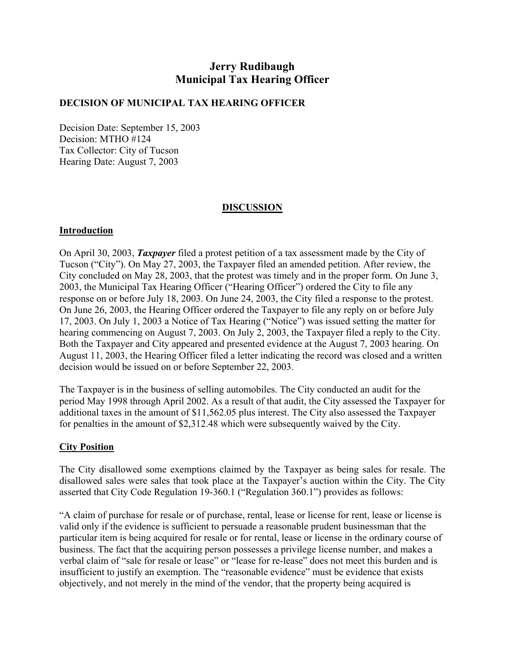# **Jerry Rudibaugh Municipal Tax Hearing Officer**

### **DECISION OF MUNICIPAL TAX HEARING OFFICER**

Decision Date: September 15, 2003 Decision: MTHO #124 Tax Collector: City of Tucson Hearing Date: August 7, 2003

## **DISCUSSION**

### **Introduction**

On April 30, 2003, *Taxpayer* filed a protest petition of a tax assessment made by the City of Tucson ("City"). On May 27, 2003, the Taxpayer filed an amended petition. After review, the City concluded on May 28, 2003, that the protest was timely and in the proper form. On June 3, 2003, the Municipal Tax Hearing Officer ("Hearing Officer") ordered the City to file any response on or before July 18, 2003. On June 24, 2003, the City filed a response to the protest. On June 26, 2003, the Hearing Officer ordered the Taxpayer to file any reply on or before July 17, 2003. On July 1, 2003 a Notice of Tax Hearing ("Notice") was issued setting the matter for hearing commencing on August 7, 2003. On July 2, 2003, the Taxpayer filed a reply to the City. Both the Taxpayer and City appeared and presented evidence at the August 7, 2003 hearing. On August 11, 2003, the Hearing Officer filed a letter indicating the record was closed and a written decision would be issued on or before September 22, 2003.

The Taxpayer is in the business of selling automobiles. The City conducted an audit for the period May 1998 through April 2002. As a result of that audit, the City assessed the Taxpayer for additional taxes in the amount of \$11,562.05 plus interest. The City also assessed the Taxpayer for penalties in the amount of \$2,312.48 which were subsequently waived by the City.

### **City Position**

The City disallowed some exemptions claimed by the Taxpayer as being sales for resale. The disallowed sales were sales that took place at the Taxpayer's auction within the City. The City asserted that City Code Regulation 19-360.1 ("Regulation 360.1") provides as follows:

"A claim of purchase for resale or of purchase, rental, lease or license for rent, lease or license is valid only if the evidence is sufficient to persuade a reasonable prudent businessman that the particular item is being acquired for resale or for rental, lease or license in the ordinary course of business. The fact that the acquiring person possesses a privilege license number, and makes a verbal claim of "sale for resale or lease" or "lease for re-lease" does not meet this burden and is insufficient to justify an exemption. The "reasonable evidence" must be evidence that exists objectively, and not merely in the mind of the vendor, that the property being acquired is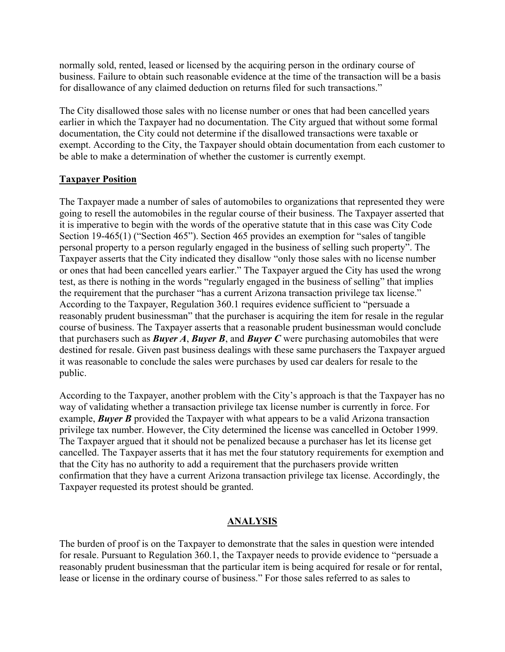normally sold, rented, leased or licensed by the acquiring person in the ordinary course of business. Failure to obtain such reasonable evidence at the time of the transaction will be a basis for disallowance of any claimed deduction on returns filed for such transactions."

The City disallowed those sales with no license number or ones that had been cancelled years earlier in which the Taxpayer had no documentation. The City argued that without some formal documentation, the City could not determine if the disallowed transactions were taxable or exempt. According to the City, the Taxpayer should obtain documentation from each customer to be able to make a determination of whether the customer is currently exempt.

## **Taxpayer Position**

The Taxpayer made a number of sales of automobiles to organizations that represented they were going to resell the automobiles in the regular course of their business. The Taxpayer asserted that it is imperative to begin with the words of the operative statute that in this case was City Code Section 19-465(1) ("Section 465"). Section 465 provides an exemption for "sales of tangible personal property to a person regularly engaged in the business of selling such property". The Taxpayer asserts that the City indicated they disallow "only those sales with no license number or ones that had been cancelled years earlier." The Taxpayer argued the City has used the wrong test, as there is nothing in the words "regularly engaged in the business of selling" that implies the requirement that the purchaser "has a current Arizona transaction privilege tax license." According to the Taxpayer, Regulation 360.1 requires evidence sufficient to "persuade a reasonably prudent businessman" that the purchaser is acquiring the item for resale in the regular course of business. The Taxpayer asserts that a reasonable prudent businessman would conclude that purchasers such as *Buyer A*, *Buyer B*, and *Buyer C* were purchasing automobiles that were destined for resale. Given past business dealings with these same purchasers the Taxpayer argued it was reasonable to conclude the sales were purchases by used car dealers for resale to the public.

According to the Taxpayer, another problem with the City's approach is that the Taxpayer has no way of validating whether a transaction privilege tax license number is currently in force. For example, *Buyer B* provided the Taxpayer with what appears to be a valid Arizona transaction privilege tax number. However, the City determined the license was cancelled in October 1999. The Taxpayer argued that it should not be penalized because a purchaser has let its license get cancelled. The Taxpayer asserts that it has met the four statutory requirements for exemption and that the City has no authority to add a requirement that the purchasers provide written confirmation that they have a current Arizona transaction privilege tax license. Accordingly, the Taxpayer requested its protest should be granted.

## **ANALYSIS**

The burden of proof is on the Taxpayer to demonstrate that the sales in question were intended for resale. Pursuant to Regulation 360.1, the Taxpayer needs to provide evidence to "persuade a reasonably prudent businessman that the particular item is being acquired for resale or for rental, lease or license in the ordinary course of business." For those sales referred to as sales to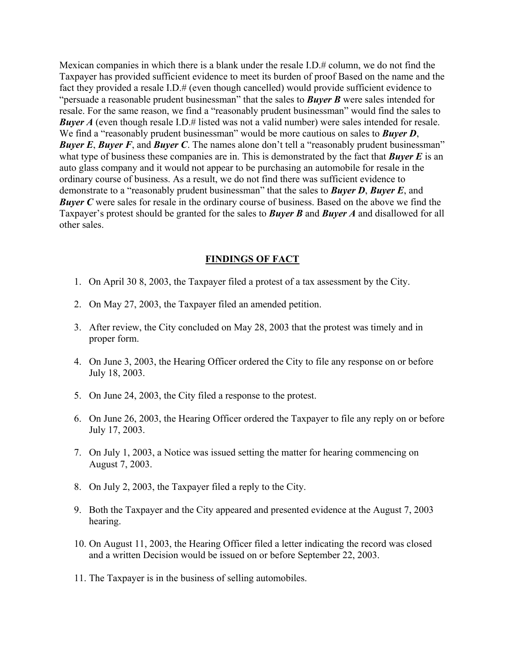Mexican companies in which there is a blank under the resale I.D.# column, we do not find the Taxpayer has provided sufficient evidence to meet its burden of proof Based on the name and the fact they provided a resale I.D.# (even though cancelled) would provide sufficient evidence to "persuade a reasonable prudent businessman" that the sales to *Buyer B* were sales intended for resale. For the same reason, we find a "reasonably prudent businessman" would find the sales to **Buyer A** (even though resale I.D.# listed was not a valid number) were sales intended for resale. We find a "reasonably prudent businessman" would be more cautious on sales to **Buyer D**, *Buyer E*, *Buyer F*, and *Buyer C*. The names alone don't tell a "reasonably prudent businessman" what type of business these companies are in. This is demonstrated by the fact that *Buyer E* is an auto glass company and it would not appear to be purchasing an automobile for resale in the ordinary course of business. As a result, we do not find there was sufficient evidence to demonstrate to a "reasonably prudent businessman" that the sales to *Buyer D*, *Buyer E*, and **Buyer C** were sales for resale in the ordinary course of business. Based on the above we find the Taxpayer's protest should be granted for the sales to *Buyer B* and *Buyer A* and disallowed for all other sales.

#### **FINDINGS OF FACT**

- 1. On April 30 8, 2003, the Taxpayer filed a protest of a tax assessment by the City.
- 2. On May 27, 2003, the Taxpayer filed an amended petition.
- 3. After review, the City concluded on May 28, 2003 that the protest was timely and in proper form.
- 4. On June 3, 2003, the Hearing Officer ordered the City to file any response on or before July 18, 2003.
- 5. On June 24, 2003, the City filed a response to the protest.
- 6. On June 26, 2003, the Hearing Officer ordered the Taxpayer to file any reply on or before July 17, 2003.
- 7. On July 1, 2003, a Notice was issued setting the matter for hearing commencing on August 7, 2003.
- 8. On July 2, 2003, the Taxpayer filed a reply to the City.
- 9. Both the Taxpayer and the City appeared and presented evidence at the August 7, 2003 hearing.
- 10. On August 11, 2003, the Hearing Officer filed a letter indicating the record was closed and a written Decision would be issued on or before September 22, 2003.
- 11. The Taxpayer is in the business of selling automobiles.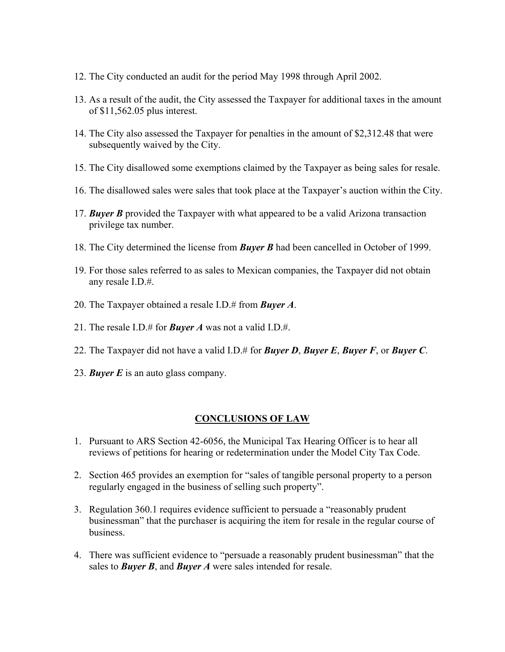- 12. The City conducted an audit for the period May 1998 through April 2002.
- 13. As a result of the audit, the City assessed the Taxpayer for additional taxes in the amount of \$11,562.05 plus interest.
- 14. The City also assessed the Taxpayer for penalties in the amount of \$2,312.48 that were subsequently waived by the City.
- 15. The City disallowed some exemptions claimed by the Taxpayer as being sales for resale.
- 16. The disallowed sales were sales that took place at the Taxpayer's auction within the City.
- 17. *Buyer B* provided the Taxpayer with what appeared to be a valid Arizona transaction privilege tax number.
- 18. The City determined the license from *Buyer B* had been cancelled in October of 1999.
- 19. For those sales referred to as sales to Mexican companies, the Taxpayer did not obtain any resale I.D.#.
- 20. The Taxpayer obtained a resale I.D.# from *Buyer A*.
- 21. The resale I.D.# for *Buyer A* was not a valid I.D.#.
- 22. The Taxpayer did not have a valid I.D.# for *Buyer D*, *Buyer E*, *Buyer F*, or *Buyer C*.
- 23. *Buyer E* is an auto glass company.

### **CONCLUSIONS OF LAW**

- 1. Pursuant to ARS Section 42-6056, the Municipal Tax Hearing Officer is to hear all reviews of petitions for hearing or redetermination under the Model City Tax Code.
- 2. Section 465 provides an exemption for "sales of tangible personal property to a person regularly engaged in the business of selling such property".
- 3. Regulation 360.1 requires evidence sufficient to persuade a "reasonably prudent businessman" that the purchaser is acquiring the item for resale in the regular course of business.
- 4. There was sufficient evidence to "persuade a reasonably prudent businessman" that the sales to *Buyer B*, and *Buyer A* were sales intended for resale.